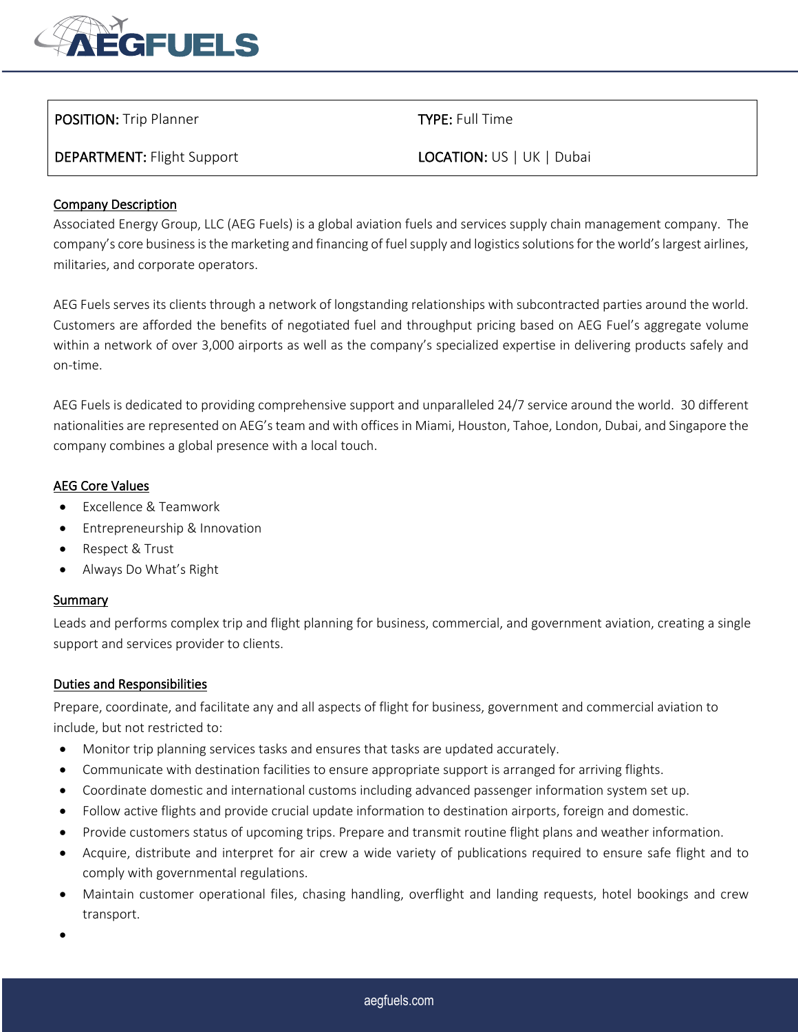

# POSITION: Trip Planner TYPE: Full Time

DEPARTMENT: Flight Support LOCATION: US | UK | Dubai

## Company Description

Associated Energy Group, LLC (AEG Fuels) is a global aviation fuels and services supply chain management company. The company's core business is the marketing and financing of fuel supply and logistics solutions for the world's largest airlines, militaries, and corporate operators.

AEG Fuels serves its clients through a network of longstanding relationships with subcontracted parties around the world. Customers are afforded the benefits of negotiated fuel and throughput pricing based on AEG Fuel's aggregate volume within a network of over 3,000 airports as well as the company's specialized expertise in delivering products safely and on-time.

AEG Fuels is dedicated to providing comprehensive support and unparalleled 24/7 service around the world. 30 different nationalities are represented on AEG's team and with offices in Miami, Houston, Tahoe, London, Dubai, and Singapore the company combines a global presence with a local touch.

### AEG Core Values

- Excellence & Teamwork
- Entrepreneurship & Innovation
- Respect & Trust
- Always Do What's Right

### **Summary**

Leads and performs complex trip and flight planning for business, commercial, and government aviation, creating a single support and services provider to clients.

## Duties and Responsibilities

Prepare, coordinate, and facilitate any and all aspects of flight for business, government and commercial aviation to include, but not restricted to:

- Monitor trip planning services tasks and ensures that tasks are updated accurately.
- Communicate with destination facilities to ensure appropriate support is arranged for arriving flights.
- Coordinate domestic and international customs including advanced passenger information system set up.
- Follow active flights and provide crucial update information to destination airports, foreign and domestic.
- Provide customers status of upcoming trips. Prepare and transmit routine flight plans and weather information.
- Acquire, distribute and interpret for air crew a wide variety of publications required to ensure safe flight and to comply with governmental regulations.
- Maintain customer operational files, chasing handling, overflight and landing requests, hotel bookings and crew transport.
- •